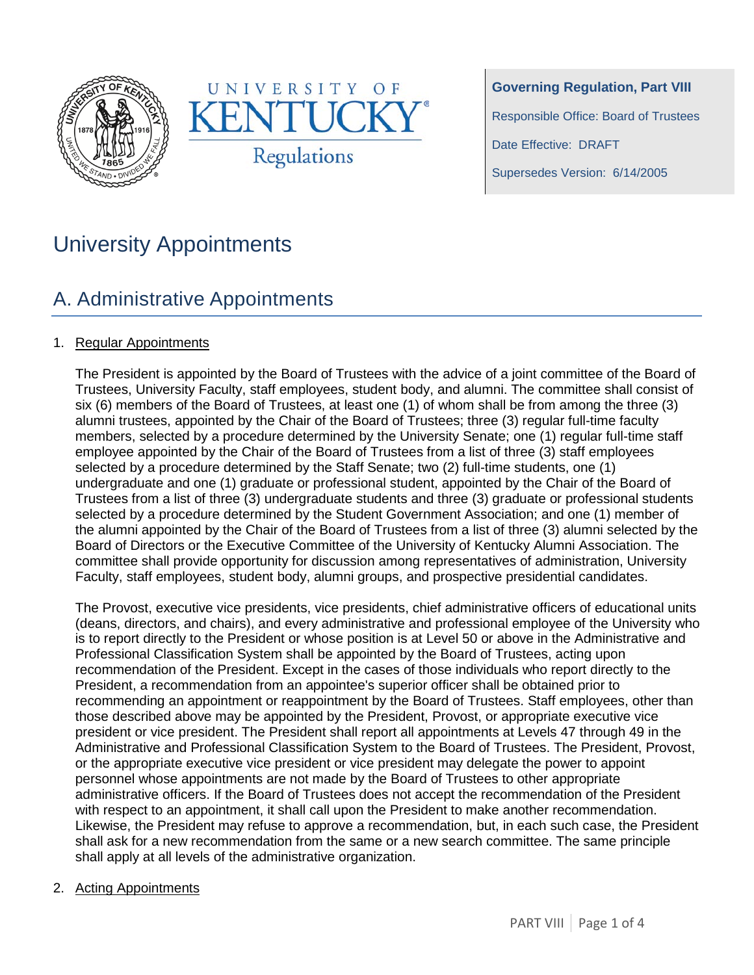



**Governing Regulation, Part VIII** Responsible Office: Board of Trustees Date Effective: DRAFT Supersedes Version: 6/14/2005

# University Appointments

# A. Administrative Appointments

### 1. Regular Appointments

The President is appointed by the Board of Trustees with the advice of a joint committee of the Board of Trustees, University Faculty, staff employees, student body, and alumni. The committee shall consist of six (6) members of the Board of Trustees, at least one (1) of whom shall be from among the three (3) alumni trustees, appointed by the Chair of the Board of Trustees; three (3) regular full-time faculty members, selected by a procedure determined by the University Senate; one (1) regular full-time staff employee appointed by the Chair of the Board of Trustees from a list of three (3) staff employees selected by a procedure determined by the Staff Senate; two (2) full-time students, one (1) undergraduate and one (1) graduate or professional student, appointed by the Chair of the Board of Trustees from a list of three (3) undergraduate students and three (3) graduate or professional students selected by a procedure determined by the Student Government Association; and one (1) member of the alumni appointed by the Chair of the Board of Trustees from a list of three (3) alumni selected by the Board of Directors or the Executive Committee of the University of Kentucky Alumni Association. The committee shall provide opportunity for discussion among representatives of administration, University Faculty, staff employees, student body, alumni groups, and prospective presidential candidates.

The Provost, executive vice presidents, vice presidents, chief administrative officers of educational units (deans, directors, and chairs), and every administrative and professional employee of the University who is to report directly to the President or whose position is at Level 50 or above in the Administrative and Professional Classification System shall be appointed by the Board of Trustees, acting upon recommendation of the President. Except in the cases of those individuals who report directly to the President, a recommendation from an appointee's superior officer shall be obtained prior to recommending an appointment or reappointment by the Board of Trustees. Staff employees, other than those described above may be appointed by the President, Provost, or appropriate executive vice president or vice president. The President shall report all appointments at Levels 47 through 49 in the Administrative and Professional Classification System to the Board of Trustees. The President, Provost, or the appropriate executive vice president or vice president may delegate the power to appoint personnel whose appointments are not made by the Board of Trustees to other appropriate administrative officers. If the Board of Trustees does not accept the recommendation of the President with respect to an appointment, it shall call upon the President to make another recommendation. Likewise, the President may refuse to approve a recommendation, but, in each such case, the President shall ask for a new recommendation from the same or a new search committee. The same principle shall apply at all levels of the administrative organization.

#### 2. Acting Appointments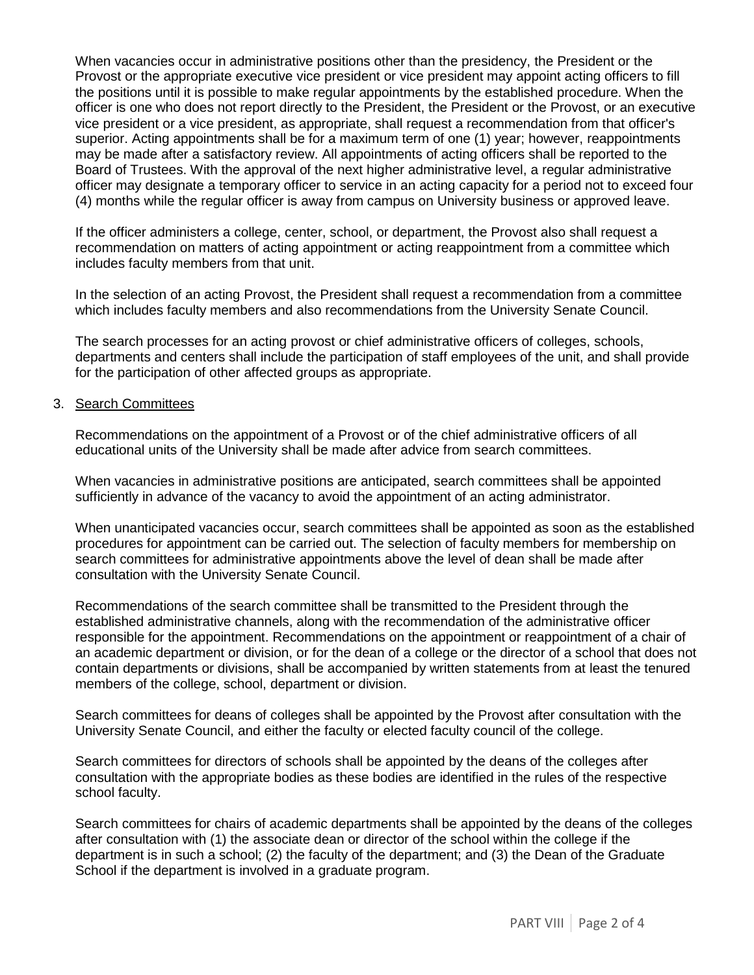When vacancies occur in administrative positions other than the presidency, the President or the Provost or the appropriate executive vice president or vice president may appoint acting officers to fill the positions until it is possible to make regular appointments by the established procedure. When the officer is one who does not report directly to the President, the President or the Provost, or an executive vice president or a vice president, as appropriate, shall request a recommendation from that officer's superior. Acting appointments shall be for a maximum term of one (1) year; however, reappointments may be made after a satisfactory review. All appointments of acting officers shall be reported to the Board of Trustees. With the approval of the next higher administrative level, a regular administrative officer may designate a temporary officer to service in an acting capacity for a period not to exceed four (4) months while the regular officer is away from campus on University business or approved leave.

If the officer administers a college, center, school, or department, the Provost also shall request a recommendation on matters of acting appointment or acting reappointment from a committee which includes faculty members from that unit.

In the selection of an acting Provost, the President shall request a recommendation from a committee which includes faculty members and also recommendations from the University Senate Council.

The search processes for an acting provost or chief administrative officers of colleges, schools, departments and centers shall include the participation of staff employees of the unit, and shall provide for the participation of other affected groups as appropriate.

#### 3. Search Committees

Recommendations on the appointment of a Provost or of the chief administrative officers of all educational units of the University shall be made after advice from search committees.

When vacancies in administrative positions are anticipated, search committees shall be appointed sufficiently in advance of the vacancy to avoid the appointment of an acting administrator.

When unanticipated vacancies occur, search committees shall be appointed as soon as the established procedures for appointment can be carried out. The selection of faculty members for membership on search committees for administrative appointments above the level of dean shall be made after consultation with the University Senate Council.

Recommendations of the search committee shall be transmitted to the President through the established administrative channels, along with the recommendation of the administrative officer responsible for the appointment. Recommendations on the appointment or reappointment of a chair of an academic department or division, or for the dean of a college or the director of a school that does not contain departments or divisions, shall be accompanied by written statements from at least the tenured members of the college, school, department or division.

Search committees for deans of colleges shall be appointed by the Provost after consultation with the University Senate Council, and either the faculty or elected faculty council of the college.

Search committees for directors of schools shall be appointed by the deans of the colleges after consultation with the appropriate bodies as these bodies are identified in the rules of the respective school faculty.

Search committees for chairs of academic departments shall be appointed by the deans of the colleges after consultation with (1) the associate dean or director of the school within the college if the department is in such a school; (2) the faculty of the department; and (3) the Dean of the Graduate School if the department is involved in a graduate program.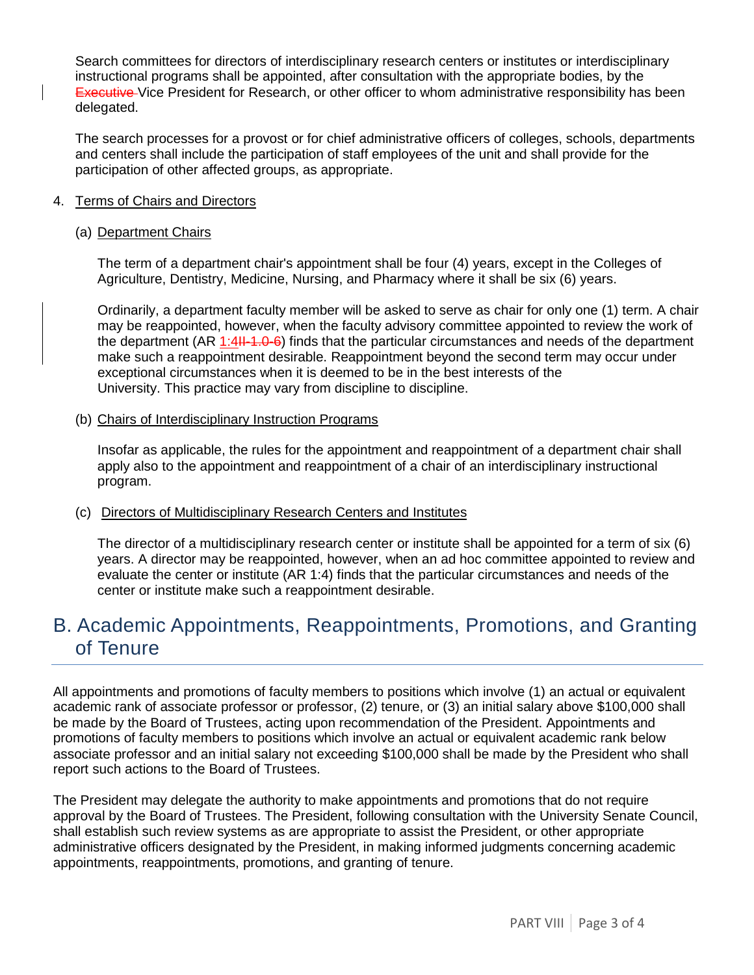Search committees for directors of interdisciplinary research centers or institutes or interdisciplinary instructional programs shall be appointed, after consultation with the appropriate bodies, by the **Executive** Vice President for Research, or other officer to whom administrative responsibility has been delegated.

The search processes for a provost or for chief administrative officers of colleges, schools, departments and centers shall include the participation of staff employees of the unit and shall provide for the participation of other affected groups, as appropriate.

#### 4. Terms of Chairs and Directors

#### (a) Department Chairs

The term of a department chair's appointment shall be four (4) years, except in the Colleges of Agriculture, Dentistry, Medicine, Nursing, and Pharmacy where it shall be six (6) years.

Ordinarily, a department faculty member will be asked to serve as chair for only one (1) term. A chair may be reappointed, however, when the faculty advisory committee appointed to review the work of the department  $(AR 1:4H-1.0-6)$  finds that the particular circumstances and needs of the department make such a reappointment desirable. Reappointment beyond the second term may occur under exceptional circumstances when it is deemed to be in the best interests of the University. This practice may vary from discipline to discipline.

#### (b) Chairs of Interdisciplinary Instruction Programs

Insofar as applicable, the rules for the appointment and reappointment of a department chair shall apply also to the appointment and reappointment of a chair of an interdisciplinary instructional program.

#### (c) Directors of Multidisciplinary Research Centers and Institutes

The director of a multidisciplinary research center or institute shall be appointed for a term of six (6) years. A director may be reappointed, however, when an ad hoc committee appointed to review and evaluate the center or institute (AR 1:4) finds that the particular circumstances and needs of the center or institute make such a reappointment desirable.

## B. Academic Appointments, Reappointments, Promotions, and Granting of Tenure

All appointments and promotions of faculty members to positions which involve (1) an actual or equivalent academic rank of associate professor or professor, (2) tenure, or (3) an initial salary above \$100,000 shall be made by the Board of Trustees, acting upon recommendation of the President. Appointments and promotions of faculty members to positions which involve an actual or equivalent academic rank below associate professor and an initial salary not exceeding \$100,000 shall be made by the President who shall report such actions to the Board of Trustees.

The President may delegate the authority to make appointments and promotions that do not require approval by the Board of Trustees. The President, following consultation with the University Senate Council, shall establish such review systems as are appropriate to assist the President, or other appropriate administrative officers designated by the President, in making informed judgments concerning academic appointments, reappointments, promotions, and granting of tenure.